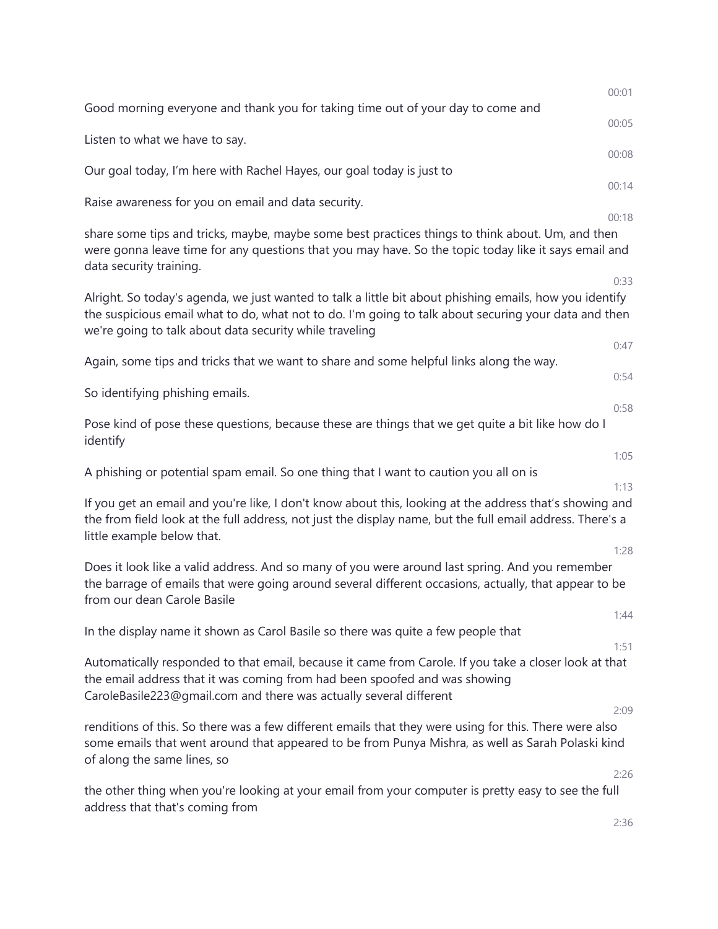| 00:01                                                                                                                                                                                                                        |
|------------------------------------------------------------------------------------------------------------------------------------------------------------------------------------------------------------------------------|
| 00:05                                                                                                                                                                                                                        |
| 00:08                                                                                                                                                                                                                        |
|                                                                                                                                                                                                                              |
| 00:14                                                                                                                                                                                                                        |
| 00:18<br>were gonna leave time for any questions that you may have. So the topic today like it says email and                                                                                                                |
| 0:33<br>Alright. So today's agenda, we just wanted to talk a little bit about phishing emails, how you identify<br>the suspicious email what to do, what not to do. I'm going to talk about securing your data and then      |
| 0:47                                                                                                                                                                                                                         |
| 0:54                                                                                                                                                                                                                         |
| 0:58                                                                                                                                                                                                                         |
| 1:05                                                                                                                                                                                                                         |
| 1:13<br>If you get an email and you're like, I don't know about this, looking at the address that's showing and<br>the from field look at the full address, not just the display name, but the full email address. There's a |
| 1:28<br>the barrage of emails that were going around several different occasions, actually, that appear to be<br>1:44                                                                                                        |
|                                                                                                                                                                                                                              |
| 1:51<br>Automatically responded to that email, because it came from Carole. If you take a closer look at that                                                                                                                |
| 2:09<br>some emails that went around that appeared to be from Punya Mishra, as well as Sarah Polaski kind                                                                                                                    |
| 2:26<br>2:36                                                                                                                                                                                                                 |
|                                                                                                                                                                                                                              |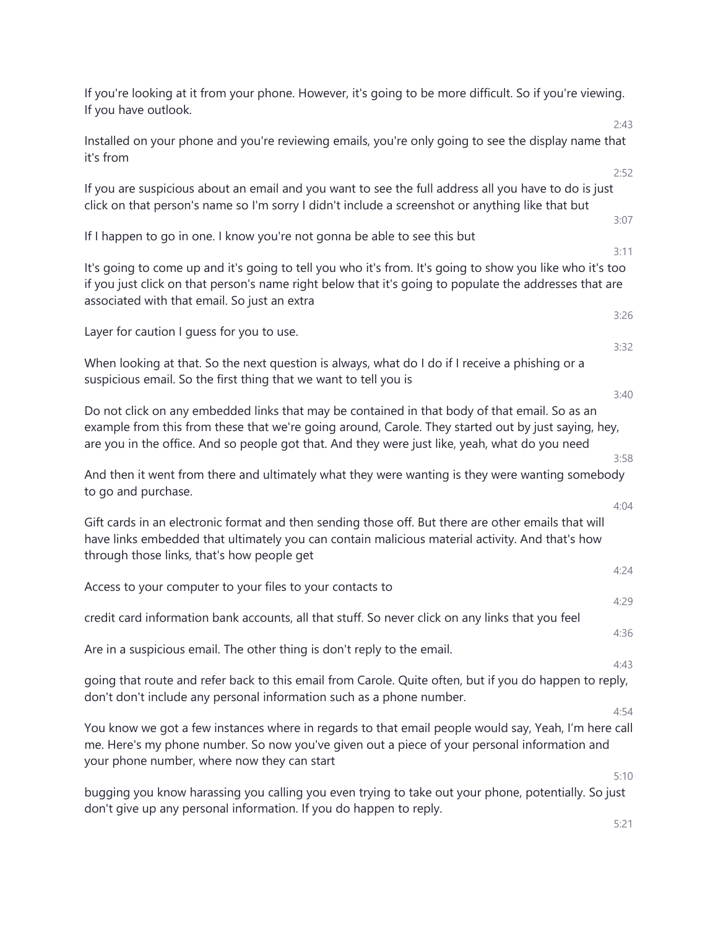| If you're looking at it from your phone. However, it's going to be more difficult. So if you're viewing.<br>If you have outlook.                                                                                                                                                                       |              |
|--------------------------------------------------------------------------------------------------------------------------------------------------------------------------------------------------------------------------------------------------------------------------------------------------------|--------------|
| Installed on your phone and you're reviewing emails, you're only going to see the display name that<br>it's from                                                                                                                                                                                       | 2:43         |
| If you are suspicious about an email and you want to see the full address all you have to do is just<br>click on that person's name so I'm sorry I didn't include a screenshot or anything like that but                                                                                               | 2:52<br>3:07 |
| If I happen to go in one. I know you're not gonna be able to see this but                                                                                                                                                                                                                              | 3:11         |
| It's going to come up and it's going to tell you who it's from. It's going to show you like who it's too<br>if you just click on that person's name right below that it's going to populate the addresses that are<br>associated with that email. So just an extra                                     |              |
|                                                                                                                                                                                                                                                                                                        | 3:26         |
| Layer for caution I guess for you to use.                                                                                                                                                                                                                                                              | 3:32         |
| When looking at that. So the next question is always, what do I do if I receive a phishing or a<br>suspicious email. So the first thing that we want to tell you is                                                                                                                                    | 3:40         |
| Do not click on any embedded links that may be contained in that body of that email. So as an<br>example from this from these that we're going around, Carole. They started out by just saying, hey,<br>are you in the office. And so people got that. And they were just like, yeah, what do you need | 3:58         |
| And then it went from there and ultimately what they were wanting is they were wanting somebody<br>to go and purchase.                                                                                                                                                                                 |              |
| Gift cards in an electronic format and then sending those off. But there are other emails that will<br>have links embedded that ultimately you can contain malicious material activity. And that's how<br>through those links, that's how people get                                                   | 4:04         |
| Access to your computer to your files to your contacts to                                                                                                                                                                                                                                              | 4:24         |
|                                                                                                                                                                                                                                                                                                        | 4:29         |
| credit card information bank accounts, all that stuff. So never click on any links that you feel                                                                                                                                                                                                       | 4:36         |
| Are in a suspicious email. The other thing is don't reply to the email.                                                                                                                                                                                                                                | 4:43         |
| going that route and refer back to this email from Carole. Quite often, but if you do happen to reply,<br>don't don't include any personal information such as a phone number.                                                                                                                         |              |
| You know we got a few instances where in regards to that email people would say, Yeah, I'm here call<br>me. Here's my phone number. So now you've given out a piece of your personal information and<br>your phone number, where now they can start                                                    | 4:54         |
| bugging you know harassing you calling you even trying to take out your phone, potentially. So just                                                                                                                                                                                                    | 5:10         |
| don't give up any personal information. If you do happen to reply.                                                                                                                                                                                                                                     |              |
|                                                                                                                                                                                                                                                                                                        | 5:21         |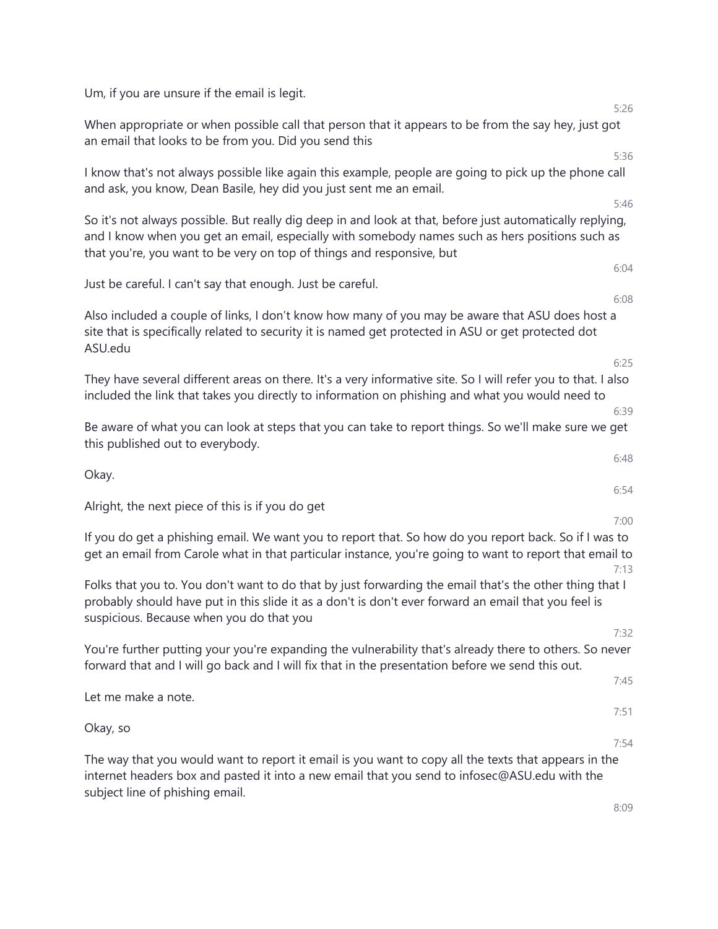| Um, if you are unsure if the email is legit.                                                                                                                                                                                                                                          |
|---------------------------------------------------------------------------------------------------------------------------------------------------------------------------------------------------------------------------------------------------------------------------------------|
| 5:26<br>When appropriate or when possible call that person that it appears to be from the say hey, just got<br>an email that looks to be from you. Did you send this                                                                                                                  |
| 5:36                                                                                                                                                                                                                                                                                  |
| I know that's not always possible like again this example, people are going to pick up the phone call<br>and ask, you know, Dean Basile, hey did you just sent me an email.                                                                                                           |
| 5:46                                                                                                                                                                                                                                                                                  |
| So it's not always possible. But really dig deep in and look at that, before just automatically replying,<br>and I know when you get an email, especially with somebody names such as hers positions such as<br>that you're, you want to be very on top of things and responsive, but |
| 6:04                                                                                                                                                                                                                                                                                  |
| Just be careful. I can't say that enough. Just be careful.<br>6:08                                                                                                                                                                                                                    |
| Also included a couple of links, I don't know how many of you may be aware that ASU does host a<br>site that is specifically related to security it is named get protected in ASU or get protected dot<br>ASU.edu                                                                     |
| 6:25                                                                                                                                                                                                                                                                                  |
| They have several different areas on there. It's a very informative site. So I will refer you to that. I also<br>included the link that takes you directly to information on phishing and what you would need to<br>6:39                                                              |
| Be aware of what you can look at steps that you can take to report things. So we'll make sure we get<br>this published out to everybody.                                                                                                                                              |
| 6:48                                                                                                                                                                                                                                                                                  |
| Okay.<br>6:54                                                                                                                                                                                                                                                                         |
| Alright, the next piece of this is if you do get                                                                                                                                                                                                                                      |
| 7:00                                                                                                                                                                                                                                                                                  |
| If you do get a phishing email. We want you to report that. So how do you report back. So if I was to<br>get an email from Carole what in that particular instance, you're going to want to report that email to<br>7:13                                                              |
| Folks that you to. You don't want to do that by just forwarding the email that's the other thing that I<br>probably should have put in this slide it as a don't is don't ever forward an email that you feel is<br>suspicious. Because when you do that you                           |
| 7:32                                                                                                                                                                                                                                                                                  |
| You're further putting your you're expanding the vulnerability that's already there to others. So never<br>forward that and I will go back and I will fix that in the presentation before we send this out.<br>7:45                                                                   |
| Let me make a note.<br>7:51                                                                                                                                                                                                                                                           |
| Okay, so                                                                                                                                                                                                                                                                              |
| 7:54<br>The way that you would want to report it email is you want to copy all the texts that appears in the<br>internet headers box and pasted it into a new email that you send to infosec@ASU.edu with the<br>subject line of phishing email.                                      |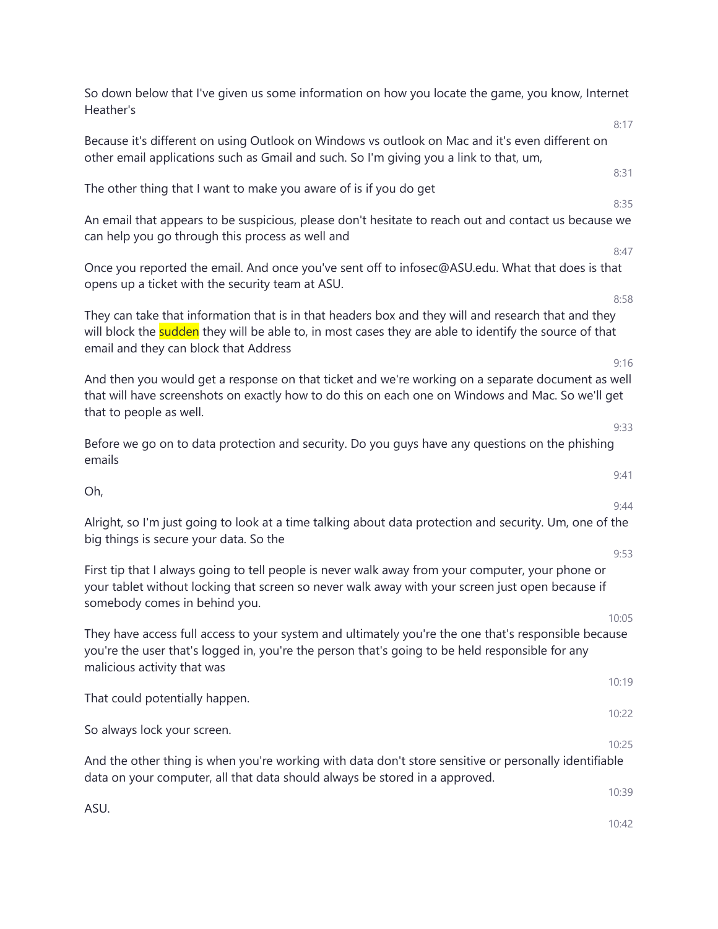So down below that I've given us some information on how you locate the game, you know, Internet Heather's 8:17 Because it's different on using Outlook on Windows vs outlook on Mac and it's even different on other email applications such as Gmail and such. So I'm giving you a link to that, um, 8:31 The other thing that I want to make you aware of is if you do get 8:35 An email that appears to be suspicious, please don't hesitate to reach out and contact us because we can help you go through this process as well and 8:47 Once you reported the email. And once you've sent off to infosec@ASU.edu. What that does is that opens up a ticket with the security team at ASU. 8:58 They can take that information that is in that headers box and they will and research that and they will block the sudden they will be able to, in most cases they are able to identify the source of that email and they can block that Address 9:16 And then you would get a response on that ticket and we're working on a separate document as well that will have screenshots on exactly how to do this on each one on Windows and Mac. So we'll get that to people as well. 9:33 Before we go on to data protection and security. Do you guys have any questions on the phishing emails 9:41 Oh, 9:44 Alright, so I'm just going to look at a time talking about data protection and security. Um, one of the big things is secure your data. So the 9:53 First tip that I always going to tell people is never walk away from your computer, your phone or your tablet without locking that screen so never walk away with your screen just open because if somebody comes in behind you. 10:05 They have access full access to your system and ultimately you're the one that's responsible because you're the user that's logged in, you're the person that's going to be held responsible for any malicious activity that was 10:19 That could potentially happen.  $10:22$ So always lock your screen. 10:25 And the other thing is when you're working with data don't store sensitive or personally identifiable data on your computer, all that data should always be stored in a approved. 10:39 ASU. 10:42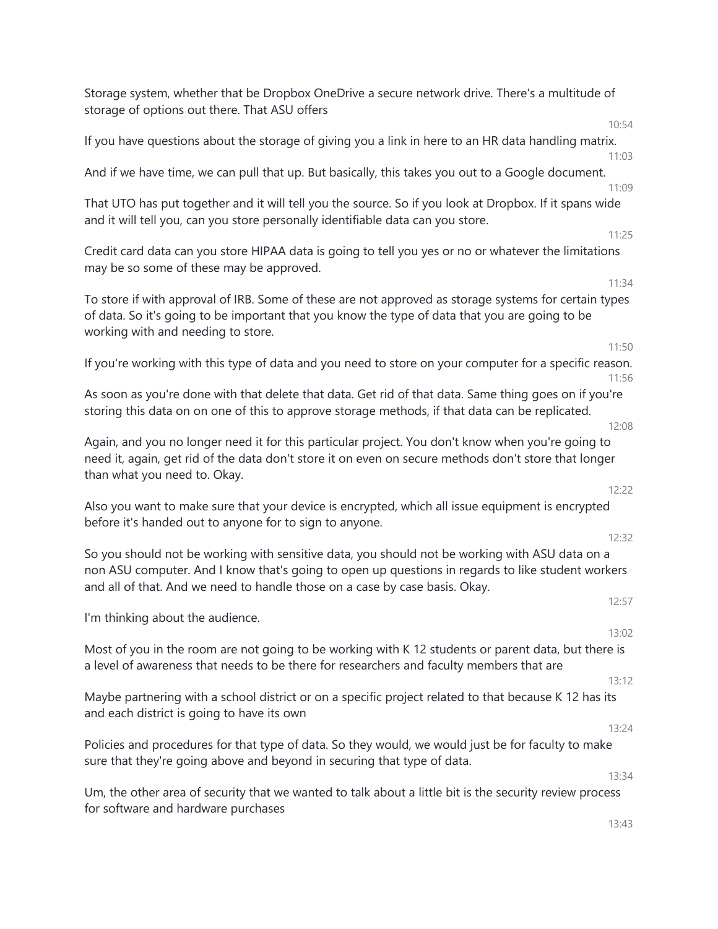Storage system, whether that be Dropbox OneDrive a secure network drive. There's a multitude of storage of options out there. That ASU offers 10:54 If you have questions about the storage of giving you a link in here to an HR data handling matrix. 11:03 And if we have time, we can pull that up. But basically, this takes you out to a Google document. 11:09 That UTO has put together and it will tell you the source. So if you look at Dropbox. If it spans wide and it will tell you, can you store personally identifiable data can you store. 11:25 Credit card data can you store HIPAA data is going to tell you yes or no or whatever the limitations may be so some of these may be approved. 11:34 To store if with approval of IRB. Some of these are not approved as storage systems for certain types of data. So it's going to be important that you know the type of data that you are going to be working with and needing to store. 11:50 If you're working with this type of data and you need to store on your computer for a specific reason. 11:56 As soon as you're done with that delete that data. Get rid of that data. Same thing goes on if you're storing this data on on one of this to approve storage methods, if that data can be replicated. 12:08 Again, and you no longer need it for this particular project. You don't know when you're going to need it, again, get rid of the data don't store it on even on secure methods don't store that longer than what you need to. Okay. 12:22 Also you want to make sure that your device is encrypted, which all issue equipment is encrypted before it's handed out to anyone for to sign to anyone. 12:32 So you should not be working with sensitive data, you should not be working with ASU data on a non ASU computer. And I know that's going to open up questions in regards to like student workers and all of that. And we need to handle those on a case by case basis. Okay. 12:57 I'm thinking about the audience. 13:02 Most of you in the room are not going to be working with K 12 students or parent data, but there is a level of awareness that needs to be there for researchers and faculty members that are 13:12 Maybe partnering with a school district or on a specific project related to that because K 12 has its and each district is going to have its own 13:24 Policies and procedures for that type of data. So they would, we would just be for faculty to make sure that they're going above and beyond in securing that type of data. 13:34 Um, the other area of security that we wanted to talk about a little bit is the security review process for software and hardware purchases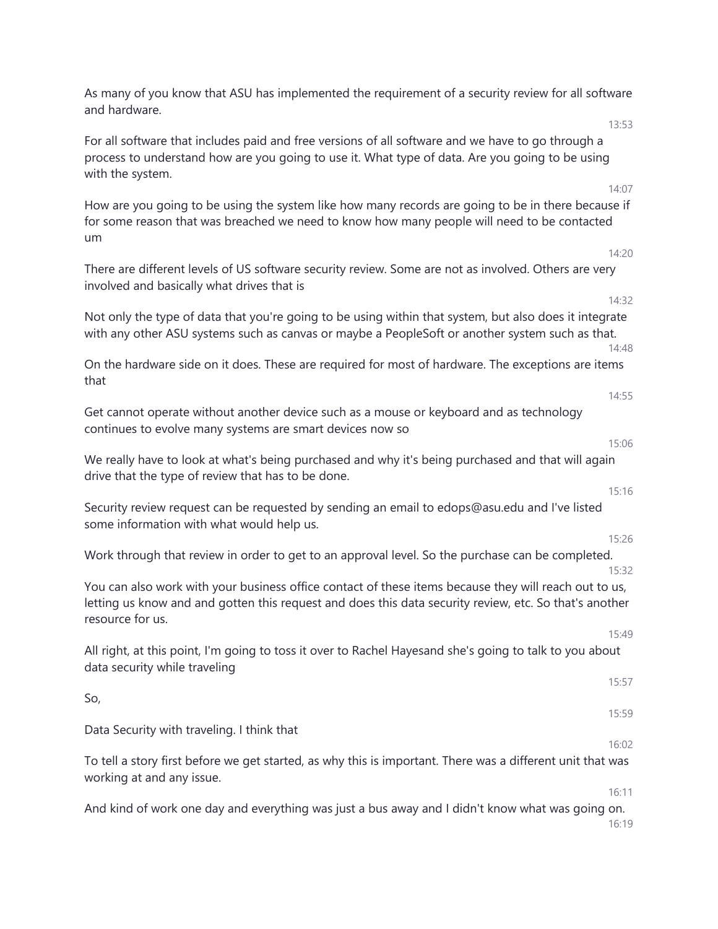As many of you know that ASU has implemented the requirement of a security review for all software and hardware. 13:53

For all software that includes paid and free versions of all software and we have to go through a process to understand how are you going to use it. What type of data. Are you going to be using with the system.

How are you going to be using the system like how many records are going to be in there because if for some reason that was breached we need to know how many people will need to be contacted um

There are different levels of US software security review. Some are not as involved. Others are very involved and basically what drives that is

Not only the type of data that you're going to be using within that system, but also does it integrate with any other ASU systems such as canvas or maybe a PeopleSoft or another system such as that.

On the hardware side on it does. These are required for most of hardware. The exceptions are items that

Get cannot operate without another device such as a mouse or keyboard and as technology continues to evolve many systems are smart devices now so

We really have to look at what's being purchased and why it's being purchased and that will again drive that the type of review that has to be done.

Security review request can be requested by sending an email to edops@asu.edu and I've listed some information with what would help us.

Work through that review in order to get to an approval level. So the purchase can be completed.

You can also work with your business office contact of these items because they will reach out to us, letting us know and and gotten this request and does this data security review, etc. So that's another resource for us.

All right, at this point, I'm going to toss it over to Rachel Hayesand she's going to talk to you about data security while traveling

So, 15:59

Data Security with traveling. I think that

To tell a story first before we get started, as why this is important. There was a different unit that was working at and any issue.

And kind of work one day and everything was just a bus away and I didn't know what was going on. 16:19

14:07

14:20

14:32

14:48

14:55

15:16

15:06

15:26

15:32

15:57

16:02

16:11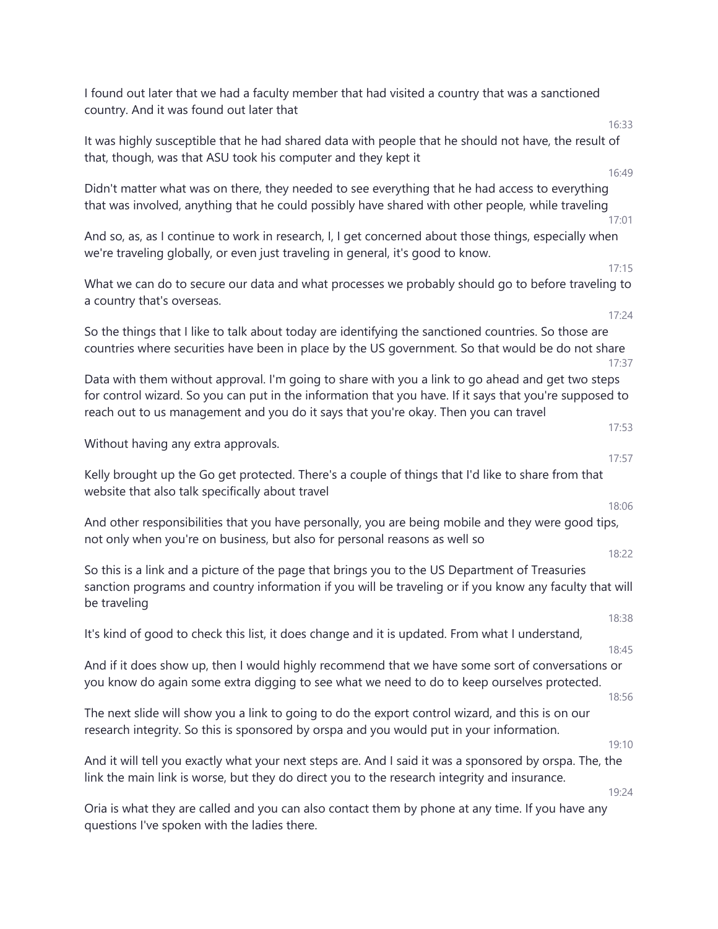I found out later that we had a faculty member that had visited a country that was a sanctioned country. And it was found out later that 16:33 It was highly susceptible that he had shared data with people that he should not have, the result of that, though, was that ASU took his computer and they kept it 16:49 Didn't matter what was on there, they needed to see everything that he had access to everything that was involved, anything that he could possibly have shared with other people, while traveling 17:01 And so, as, as I continue to work in research, I, I get concerned about those things, especially when we're traveling globally, or even just traveling in general, it's good to know. 17:15 What we can do to secure our data and what processes we probably should go to before traveling to a country that's overseas. 17:24 So the things that I like to talk about today are identifying the sanctioned countries. So those are countries where securities have been in place by the US government. So that would be do not share 17:37 Data with them without approval. I'm going to share with you a link to go ahead and get two steps for control wizard. So you can put in the information that you have. If it says that you're supposed to reach out to us management and you do it says that you're okay. Then you can travel 17:53 Without having any extra approvals. 17:57 Kelly brought up the Go get protected. There's a couple of things that I'd like to share from that website that also talk specifically about travel 18:06 And other responsibilities that you have personally, you are being mobile and they were good tips, not only when you're on business, but also for personal reasons as well so 18:22 So this is a link and a picture of the page that brings you to the US Department of Treasuries sanction programs and country information if you will be traveling or if you know any faculty that will be traveling 18:38 It's kind of good to check this list, it does change and it is updated. From what I understand, 18:45 And if it does show up, then I would highly recommend that we have some sort of conversations or you know do again some extra digging to see what we need to do to keep ourselves protected. 18:56 The next slide will show you a link to going to do the export control wizard, and this is on our research integrity. So this is sponsored by orspa and you would put in your information. 19:10 And it will tell you exactly what your next steps are. And I said it was a sponsored by orspa. The, the link the main link is worse, but they do direct you to the research integrity and insurance. 19:24 Oria is what they are called and you can also contact them by phone at any time. If you have any questions I've spoken with the ladies there.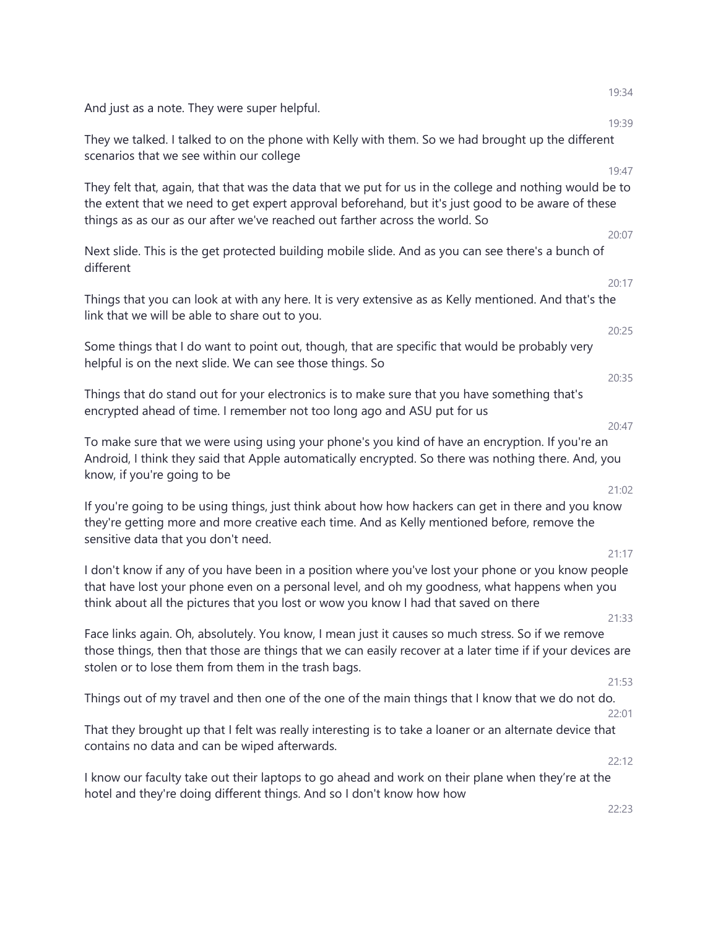|                                                                                                                                                                                                                                                                                               | 19:34 |
|-----------------------------------------------------------------------------------------------------------------------------------------------------------------------------------------------------------------------------------------------------------------------------------------------|-------|
| And just as a note. They were super helpful.                                                                                                                                                                                                                                                  | 19:39 |
| They we talked. I talked to on the phone with Kelly with them. So we had brought up the different<br>scenarios that we see within our college                                                                                                                                                 |       |
|                                                                                                                                                                                                                                                                                               | 19:47 |
| They felt that, again, that that was the data that we put for us in the college and nothing would be to<br>the extent that we need to get expert approval beforehand, but it's just good to be aware of these<br>things as as our as our after we've reached out farther across the world. So |       |
| Next slide. This is the get protected building mobile slide. And as you can see there's a bunch of<br>different                                                                                                                                                                               | 20:07 |
|                                                                                                                                                                                                                                                                                               | 20:17 |
| Things that you can look at with any here. It is very extensive as as Kelly mentioned. And that's the<br>link that we will be able to share out to you.                                                                                                                                       |       |
| Some things that I do want to point out, though, that are specific that would be probably very<br>helpful is on the next slide. We can see those things. So                                                                                                                                   | 20:25 |
|                                                                                                                                                                                                                                                                                               | 20:35 |
| Things that do stand out for your electronics is to make sure that you have something that's<br>encrypted ahead of time. I remember not too long ago and ASU put for us                                                                                                                       |       |
| To make sure that we were using using your phone's you kind of have an encryption. If you're an<br>Android, I think they said that Apple automatically encrypted. So there was nothing there. And, you<br>know, if you're going to be                                                         | 20:47 |
| If you're going to be using things, just think about how how hackers can get in there and you know<br>they're getting more and more creative each time. And as Kelly mentioned before, remove the<br>sensitive data that you don't need.                                                      | 21:02 |
| I don't know if any of you have been in a position where you've lost your phone or you know people                                                                                                                                                                                            | 21:17 |
| that have lost your phone even on a personal level, and oh my goodness, what happens when you<br>think about all the pictures that you lost or wow you know I had that saved on there                                                                                                         |       |
|                                                                                                                                                                                                                                                                                               | 21:33 |
| Face links again. Oh, absolutely. You know, I mean just it causes so much stress. So if we remove<br>those things, then that those are things that we can easily recover at a later time if if your devices are<br>stolen or to lose them from them in the trash bags.                        |       |
|                                                                                                                                                                                                                                                                                               | 21:53 |
| Things out of my travel and then one of the one of the main things that I know that we do not do.                                                                                                                                                                                             | 22:01 |
| That they brought up that I felt was really interesting is to take a loaner or an alternate device that<br>contains no data and can be wiped afterwards.                                                                                                                                      |       |
|                                                                                                                                                                                                                                                                                               | 22:12 |
| I know our faculty take out their laptops to go ahead and work on their plane when they're at the<br>hotel and they're doing different things. And so I don't know how how                                                                                                                    |       |
|                                                                                                                                                                                                                                                                                               | 22:23 |
|                                                                                                                                                                                                                                                                                               |       |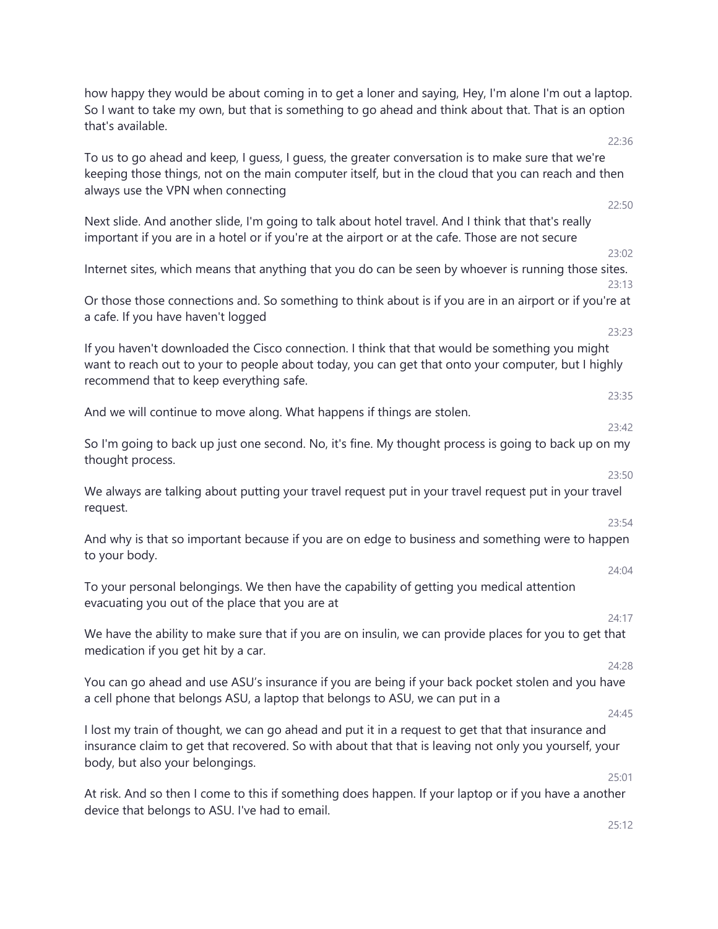how happy they would be about coming in to get a loner and saying, Hey, I'm alone I'm out a laptop. So I want to take my own, but that is something to go ahead and think about that. That is an option that's available.

To us to go ahead and keep, I guess, I guess, the greater conversation is to make sure that we're keeping those things, not on the main computer itself, but in the cloud that you can reach and then always use the VPN when connecting

| Next slide. And another slide, I'm going to talk about hotel travel. And I think that that's really |  |
|-----------------------------------------------------------------------------------------------------|--|
| important if you are in a hotel or if you're at the airport or at the cafe. Those are not secure    |  |

Internet sites, which means that anything that you do can be seen by whoever is running those sites. 23:13

Or those those connections and. So something to think about is if you are in an airport or if you're at a cafe. If you have haven't logged

If you haven't downloaded the Cisco connection. I think that that would be something you might want to reach out to your to people about today, you can get that onto your computer, but I highly recommend that to keep everything safe.

And we will continue to move along. What happens if things are stolen.

So I'm going to back up just one second. No, it's fine. My thought process is going to back up on my thought process.

We always are talking about putting your travel request put in your travel request put in your travel request.

And why is that so important because if you are on edge to business and something were to happen to your body.

To your personal belongings. We then have the capability of getting you medical attention evacuating you out of the place that you are at

We have the ability to make sure that if you are on insulin, we can provide places for you to get that medication if you get hit by a car.

You can go ahead and use ASU's insurance if you are being if your back pocket stolen and you have a cell phone that belongs ASU, a laptop that belongs to ASU, we can put in a

I lost my train of thought, we can go ahead and put it in a request to get that that insurance and insurance claim to get that recovered. So with about that that is leaving not only you yourself, your body, but also your belongings.

At risk. And so then I come to this if something does happen. If your laptop or if you have a another device that belongs to ASU. I've had to email.

25:12

25:01

22:36

22:50

23:02

23:23

23:35

23:42

 $23:50$ 

23:54

24:04

24:17

24:28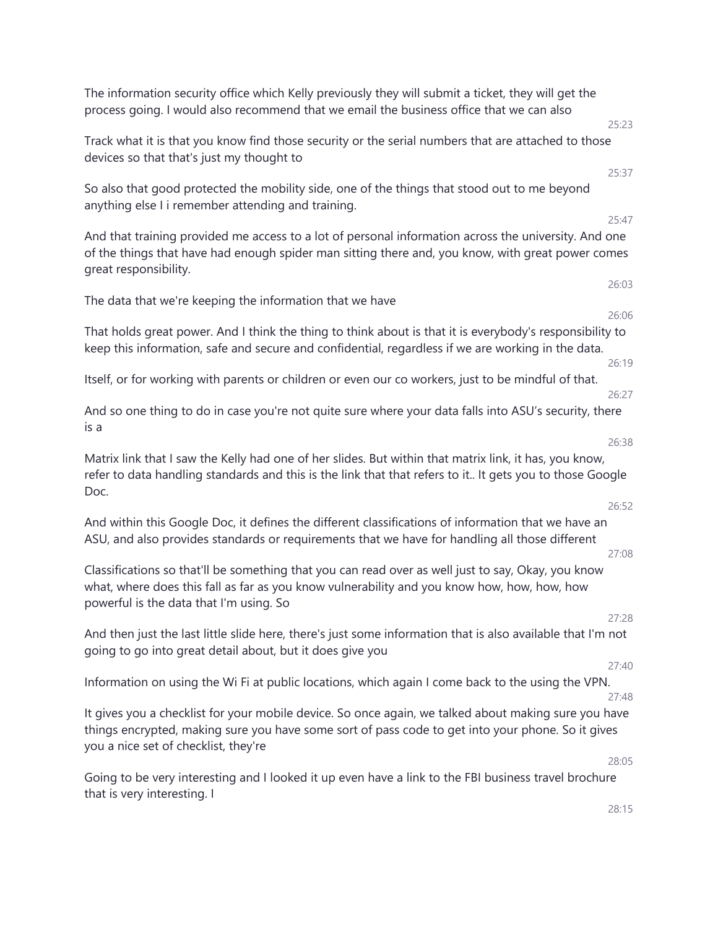The information security office which Kelly previously they will submit a ticket, they will get the process going. I would also recommend that we email the business office that we can also 25:23 Track what it is that you know find those security or the serial numbers that are attached to those devices so that that's just my thought to 25:37 So also that good protected the mobility side, one of the things that stood out to me beyond anything else I i remember attending and training. 25:47 And that training provided me access to a lot of personal information across the university. And one of the things that have had enough spider man sitting there and, you know, with great power comes great responsibility. 26:03 The data that we're keeping the information that we have 26:06 That holds great power. And I think the thing to think about is that it is everybody's responsibility to keep this information, safe and secure and confidential, regardless if we are working in the data. 26:19 Itself, or for working with parents or children or even our co workers, just to be mindful of that. 26:27 And so one thing to do in case you're not quite sure where your data falls into ASU's security, there is a 26:38 Matrix link that I saw the Kelly had one of her slides. But within that matrix link, it has, you know, refer to data handling standards and this is the link that that refers to it.. It gets you to those Google Doc. 26:52 And within this Google Doc, it defines the different classifications of information that we have an ASU, and also provides standards or requirements that we have for handling all those different 27:08 Classifications so that'll be something that you can read over as well just to say, Okay, you know what, where does this fall as far as you know vulnerability and you know how, how, how, how powerful is the data that I'm using. So 27:28 And then just the last little slide here, there's just some information that is also available that I'm not going to go into great detail about, but it does give you 27:40 Information on using the Wi Fi at public locations, which again I come back to the using the VPN. 27:48 It gives you a checklist for your mobile device. So once again, we talked about making sure you have things encrypted, making sure you have some sort of pass code to get into your phone. So it gives you a nice set of checklist, they're 28:05 Going to be very interesting and I looked it up even have a link to the FBI business travel brochure that is very interesting. I 28:15